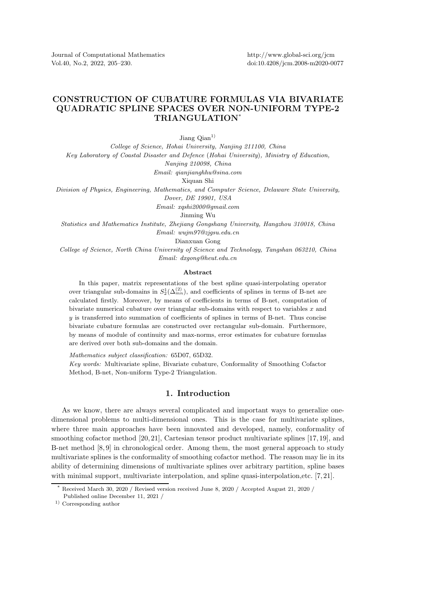Journal of Computational Mathematics Vol.40, No.2, 2022, 205–230.

## CONSTRUCTION OF CUBATURE FORMULAS VIA BIVARIATE QUADRATIC SPLINE SPACES OVER NON-UNIFORM TYPE-2 TRIANGULATION\*

Jiang  $\mathrm{Qian}^{1}$ 

*College of Science, Hohai University, Nanjing 211100, China Key Laboratory of Coastal Disaster and Defence* (*Hohai University*)*, Ministry of Education, Nanjing 210098, China*

*Email: qianjianghhu@sina.com*

Xiquan Shi

*Division of Physics, Engineering, Mathematics, and Computer Science, Delaware State University, Dover, DE 19901, USA*

*Email: xqshi2000@gmail.com*

Jinming Wu

*Statistics and Mathematics Institute, Zhejiang Gongshang University, Hangzhou 310018, China Email: wujm97@zjgsu.edu.cn*

Dianxuan Gong

*College of Science, North China University of Science and Technology, Tangshan 063210, China Email: dxgong@heut.edu.cn*

## Abstract

In this paper, matrix representations of the best spline quasi-interpolating operator over triangular sub-domains in  $S_2^1(\Delta_{mn}^{(2)})$ , and coefficients of splines in terms of B-net are calculated firstly. Moreover, by means of coefficients in terms of B-net, computation of bivariate numerical cubature over triangular sub-domains with respect to variables x and  $y$  is transferred into summation of coefficients of splines in terms of B-net. Thus concise bivariate cubature formulas are constructed over rectangular sub-domain. Furthermore, by means of module of continuity and max-norms, error estimates for cubature formulas are derived over both sub-domains and the domain.

*Mathematics subject classification:* 65D07, 65D32.

*Key words:* Multivariate spline, Bivariate cubature, Conformality of Smoothing Cofactor Method, B-net, Non-uniform Type-2 Triangulation.

## 1. Introduction

As we know, there are always several complicated and important ways to generalize onedimensional problems to multi-dimensional ones. This is the case for multivariate splines, where three main approaches have been innovated and developed, namely, conformality of smoothing cofactor method [20, 21], Cartesian tensor product multivariate splines [17, 19], and B-net method [8, 9] in chronological order. Among them, the most general approach to study multivariate splines is the conformality of smoothing cofactor method. The reason may lie in its ability of determining dimensions of multivariate splines over arbitrary partition, spline bases with minimal support, multivariate interpolation, and spline quasi-interpolation, etc. [7, 21].

Received March 30, 2020 / Revised version received June 8, 2020 / Accepted August 21, 2020 / Published online December 11, 2021 /

<sup>1)</sup> Corresponding author